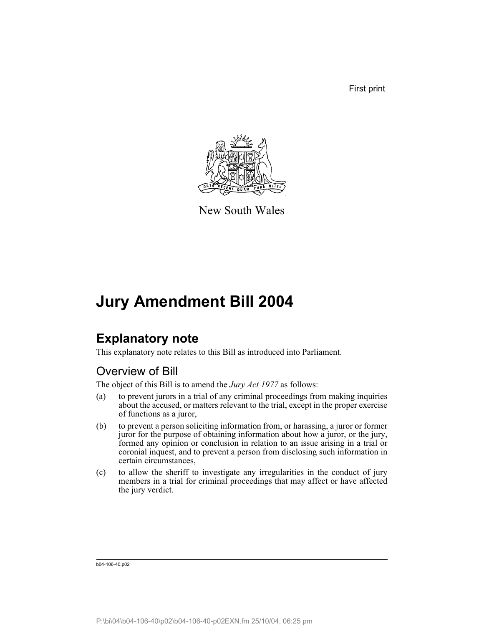First print



New South Wales

# **Jury Amendment Bill 2004**

## **Explanatory note**

This explanatory note relates to this Bill as introduced into Parliament.

## Overview of Bill

The object of this Bill is to amend the *Jury Act 1977* as follows:

- (a) to prevent jurors in a trial of any criminal proceedings from making inquiries about the accused, or matters relevant to the trial, except in the proper exercise of functions as a juror,
- (b) to prevent a person soliciting information from, or harassing, a juror or former juror for the purpose of obtaining information about how a juror, or the jury, formed any opinion or conclusion in relation to an issue arising in a trial or coronial inquest, and to prevent a person from disclosing such information in certain circumstances,
- (c) to allow the sheriff to investigate any irregularities in the conduct of jury members in a trial for criminal proceedings that may affect or have affected the jury verdict.

b04-106-40.p02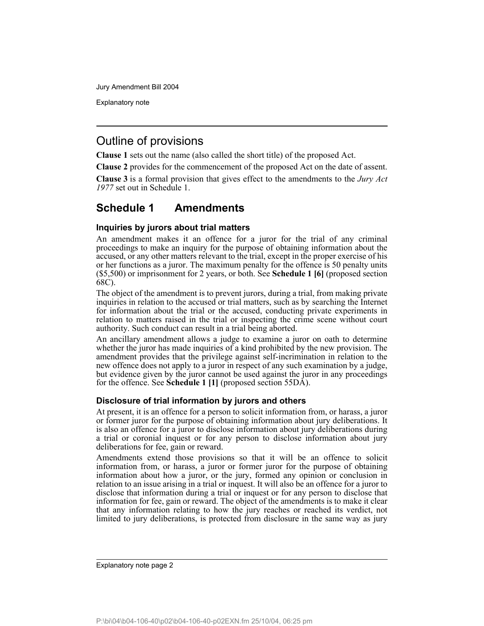Explanatory note

## Outline of provisions

**Clause 1** sets out the name (also called the short title) of the proposed Act.

**Clause 2** provides for the commencement of the proposed Act on the date of assent.

**Clause 3** is a formal provision that gives effect to the amendments to the *Jury Act 1977* set out in Schedule 1.

## **Schedule 1 Amendments**

### **Inquiries by jurors about trial matters**

An amendment makes it an offence for a juror for the trial of any criminal proceedings to make an inquiry for the purpose of obtaining information about the accused, or any other matters relevant to the trial, except in the proper exercise of his or her functions as a juror. The maximum penalty for the offence is 50 penalty units (\$5,500) or imprisonment for 2 years, or both. See **Schedule 1 [6]** (proposed section 68C).

The object of the amendment is to prevent jurors, during a trial, from making private inquiries in relation to the accused or trial matters, such as by searching the Internet for information about the trial or the accused, conducting private experiments in relation to matters raised in the trial or inspecting the crime scene without court authority. Such conduct can result in a trial being aborted.

An ancillary amendment allows a judge to examine a juror on oath to determine whether the juror has made inquiries of a kind prohibited by the new provision. The amendment provides that the privilege against self-incrimination in relation to the new offence does not apply to a juror in respect of any such examination by a judge, but evidence given by the juror cannot be used against the juror in any proceedings for the offence. See **Schedule 1 [1]** (proposed section 55DA).

### **Disclosure of trial information by jurors and others**

At present, it is an offence for a person to solicit information from, or harass, a juror or former juror for the purpose of obtaining information about jury deliberations. It is also an offence for a juror to disclose information about jury deliberations during a trial or coronial inquest or for any person to disclose information about jury deliberations for fee, gain or reward.

Amendments extend those provisions so that it will be an offence to solicit information from, or harass, a juror or former juror for the purpose of obtaining information about how a juror, or the jury, formed any opinion or conclusion in relation to an issue arising in a trial or inquest. It will also be an offence for a juror to disclose that information during a trial or inquest or for any person to disclose that information for fee, gain or reward. The object of the amendments is to make it clear that any information relating to how the jury reaches or reached its verdict, not limited to jury deliberations, is protected from disclosure in the same way as jury

Explanatory note page 2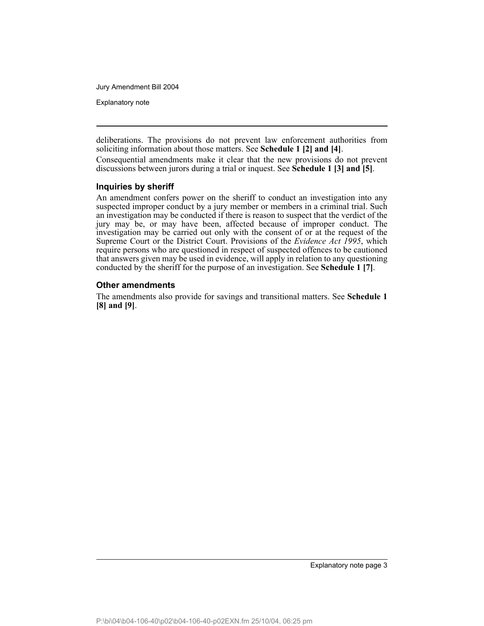Explanatory note

deliberations. The provisions do not prevent law enforcement authorities from soliciting information about those matters. See **Schedule 1 [2] and [4]**.

Consequential amendments make it clear that the new provisions do not prevent discussions between jurors during a trial or inquest. See **Schedule 1 [3] and [5]**.

#### **Inquiries by sheriff**

An amendment confers power on the sheriff to conduct an investigation into any suspected improper conduct by a jury member or members in a criminal trial. Such an investigation may be conducted if there is reason to suspect that the verdict of the jury may be, or may have been, affected because of improper conduct. The investigation may be carried out only with the consent of or at the request of the Supreme Court or the District Court. Provisions of the *Evidence Act 1995*, which require persons who are questioned in respect of suspected offences to be cautioned that answers given may be used in evidence, will apply in relation to any questioning conducted by the sheriff for the purpose of an investigation. See **Schedule 1 [7]**.

#### **Other amendments**

The amendments also provide for savings and transitional matters. See **Schedule 1 [8] and [9]**.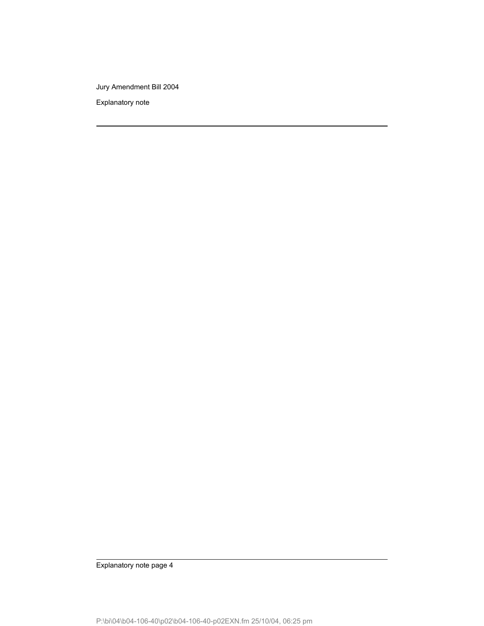Explanatory note

Explanatory note page 4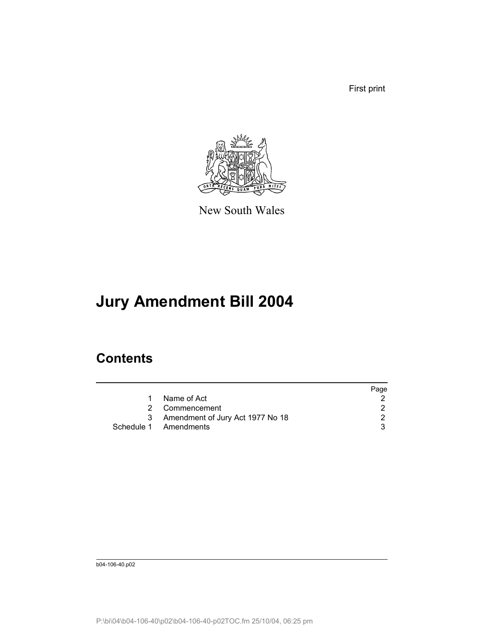First print



New South Wales

# **Jury Amendment Bill 2004**

## **Contents**

|   |                                  | Page |
|---|----------------------------------|------|
|   | Name of Act                      |      |
|   | 2 Commencement                   |      |
| 3 | Amendment of Jury Act 1977 No 18 |      |
|   | Schedule 1 Amendments            |      |
|   |                                  |      |

b04-106-40.p02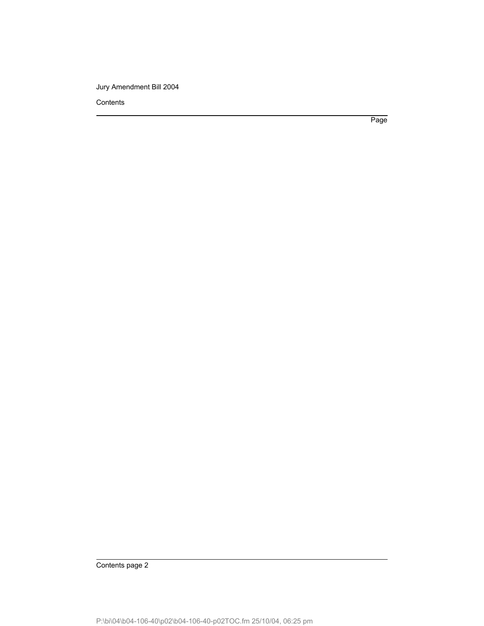**Contents** 

Page

Contents page 2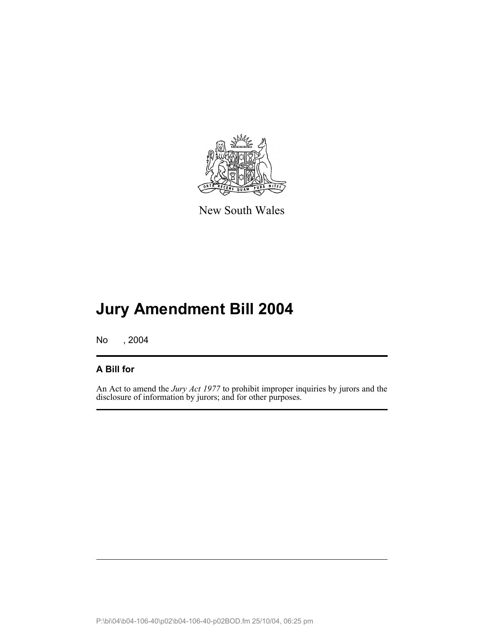

New South Wales

# **Jury Amendment Bill 2004**

No , 2004

### **A Bill for**

An Act to amend the *Jury Act 1977* to prohibit improper inquiries by jurors and the disclosure of information by jurors; and for other purposes.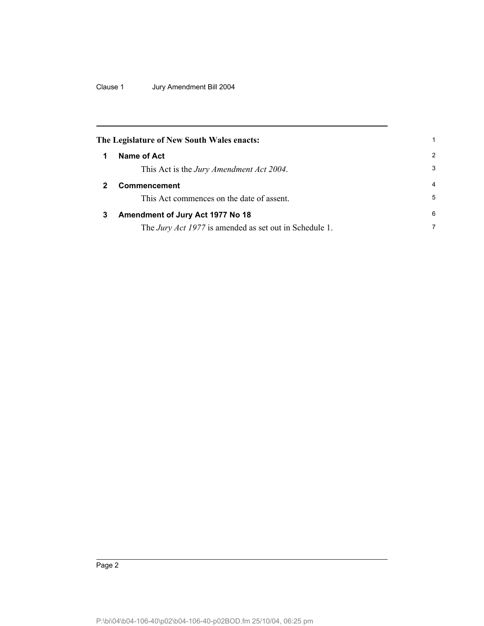Clause 1 Jury Amendment Bill 2004

| The Legislature of New South Wales enacts: |                                                               |   |
|--------------------------------------------|---------------------------------------------------------------|---|
|                                            | Name of Act                                                   | 2 |
|                                            | This Act is the Jury Amendment Act 2004.                      | 3 |
|                                            | <b>Commencement</b>                                           | 4 |
|                                            | This Act commences on the date of assent.                     | 5 |
| 3                                          | Amendment of Jury Act 1977 No 18                              | 6 |
|                                            | The <i>Jury Act 1977</i> is amended as set out in Schedule 1. | 7 |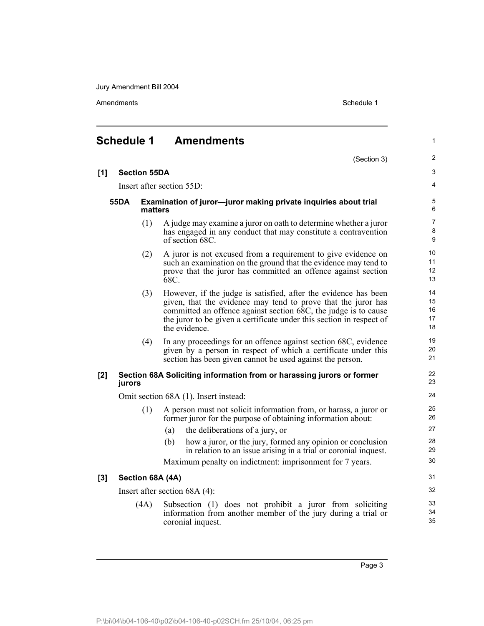Amendments **Amendments** Schedule 1

1

### **Schedule 1 Amendments** (Section 3) **[1] Section 55DA** Insert after section 55D: **55DA Examination of juror—juror making private inquiries about trial matters** (1) A judge may examine a juror on oath to determine whether a juror has engaged in any conduct that may constitute a contravention of section 68C. (2) A juror is not excused from a requirement to give evidence on such an examination on the ground that the evidence may tend to prove that the juror has committed an offence against section 68C. (3) However, if the judge is satisfied, after the evidence has been given, that the evidence may tend to prove that the juror has committed an offence against section 68C, the judge is to cause the juror to be given a certificate under this section in respect of the evidence. (4) In any proceedings for an offence against section 68C, evidence given by a person in respect of which a certificate under this section has been given cannot be used against the person. **[2] Section 68A Soliciting information from or harassing jurors or former jurors** Omit section 68A (1). Insert instead: (1) A person must not solicit information from, or harass, a juror or former juror for the purpose of obtaining information about: (a) the deliberations of a jury, or (b) how a juror, or the jury, formed any opinion or conclusion in relation to an issue arising in a trial or coronial inquest. Maximum penalty on indictment: imprisonment for 7 years. **[3] Section 68A (4A)** Insert after section 68A (4):

(4A) Subsection (1) does not prohibit a juror from soliciting information from another member of the jury during a trial or coronial inquest.

Page 3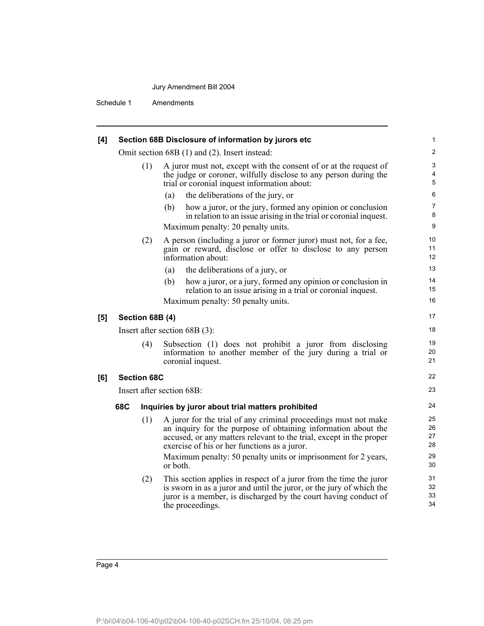Schedule 1 Amendments

| [4] |     |                    | Section 68B Disclosure of information by jurors etc                                                                                                                                                                                                     | 1                     |
|-----|-----|--------------------|---------------------------------------------------------------------------------------------------------------------------------------------------------------------------------------------------------------------------------------------------------|-----------------------|
|     |     |                    | Omit section 68B (1) and (2). Insert instead:                                                                                                                                                                                                           | $\overline{c}$        |
|     |     | (1)                | A juror must not, except with the consent of or at the request of<br>the judge or coroner, wilfully disclose to any person during the<br>trial or coronial inquest information about:                                                                   | $\mathsf 3$<br>4<br>5 |
|     |     |                    | the deliberations of the jury, or<br>(a)                                                                                                                                                                                                                | $\,6$                 |
|     |     |                    | how a juror, or the jury, formed any opinion or conclusion<br>(b)<br>in relation to an issue arising in the trial or coronial inquest.                                                                                                                  | 7<br>8                |
|     |     |                    | Maximum penalty: 20 penalty units.                                                                                                                                                                                                                      | 9                     |
|     |     | (2)                | A person (including a juror or former juror) must not, for a fee,<br>gain or reward, disclose or offer to disclose to any person<br>information about:                                                                                                  | 10<br>11<br>12        |
|     |     |                    | the deliberations of a jury, or<br>(a)                                                                                                                                                                                                                  | 13                    |
|     |     |                    | how a juror, or a jury, formed any opinion or conclusion in<br>(b)<br>relation to an issue arising in a trial or coronial inquest.                                                                                                                      | 14<br>15              |
|     |     |                    | Maximum penalty: 50 penalty units.                                                                                                                                                                                                                      | 16                    |
| [5] |     | Section 68B (4)    |                                                                                                                                                                                                                                                         | 17                    |
|     |     |                    | Insert after section $68B(3)$ :                                                                                                                                                                                                                         | 18                    |
|     |     | (4)                | Subsection (1) does not prohibit a juror from disclosing<br>information to another member of the jury during a trial or<br>coronial inquest.                                                                                                            | 19<br>20<br>21        |
| [6] |     | <b>Section 68C</b> |                                                                                                                                                                                                                                                         | 22                    |
|     |     |                    | Insert after section 68B:                                                                                                                                                                                                                               | 23                    |
|     | 68C |                    | Inquiries by juror about trial matters prohibited                                                                                                                                                                                                       | 24                    |
|     |     | (1)                | A juror for the trial of any criminal proceedings must not make<br>an inquiry for the purpose of obtaining information about the<br>accused, or any matters relevant to the trial, except in the proper<br>exercise of his or her functions as a juror. | 25<br>26<br>27<br>28  |
|     |     |                    | Maximum penalty: 50 penalty units or imprisonment for 2 years,<br>or both.                                                                                                                                                                              | 29<br>30              |
|     |     | (2)                | This section applies in respect of a juror from the time the juror<br>is sworn in as a juror and until the juror, or the jury of which the<br>juror is a member, is discharged by the court having conduct of<br>the proceedings.                       | 31<br>32<br>33<br>34  |
|     |     |                    |                                                                                                                                                                                                                                                         |                       |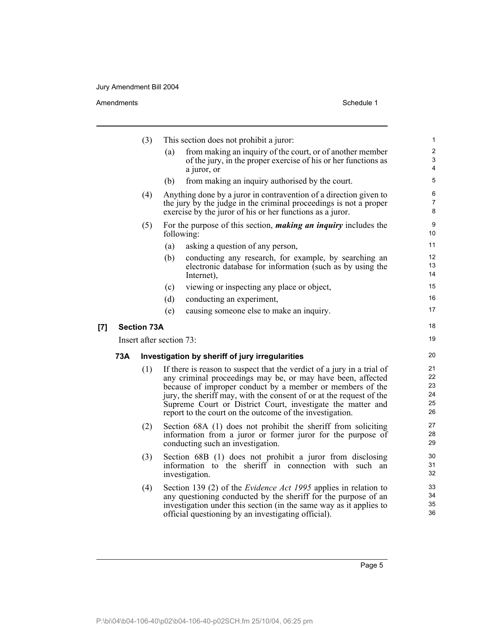#### Amendments Schedule 1

**[7] Section 73A**

|            | (3)                | This section does not prohibit a juror:                                                                                                                                                                                                                                                                                                                                                              | 1                                              |
|------------|--------------------|------------------------------------------------------------------------------------------------------------------------------------------------------------------------------------------------------------------------------------------------------------------------------------------------------------------------------------------------------------------------------------------------------|------------------------------------------------|
|            |                    | from making an inquiry of the court, or of another member<br>(a)<br>of the jury, in the proper exercise of his or her functions as<br>a juror, or                                                                                                                                                                                                                                                    | $\overline{2}$<br>3<br>$\overline{\mathbf{4}}$ |
|            |                    | from making an inquiry authorised by the court.<br>(b)                                                                                                                                                                                                                                                                                                                                               | 5                                              |
|            | (4)                | Anything done by a juror in contravention of a direction given to<br>the jury by the judge in the criminal proceedings is not a proper<br>exercise by the juror of his or her functions as a juror.                                                                                                                                                                                                  | 6<br>7<br>8                                    |
|            | (5)                | For the purpose of this section, <i>making an inquiry</i> includes the<br>following:                                                                                                                                                                                                                                                                                                                 | 9<br>10                                        |
|            |                    | asking a question of any person,<br>(a)                                                                                                                                                                                                                                                                                                                                                              | 11                                             |
|            |                    | (b)<br>conducting any research, for example, by searching an<br>electronic database for information (such as by using the<br>Internet),                                                                                                                                                                                                                                                              | 12<br>13<br>14                                 |
|            |                    | viewing or inspecting any place or object,<br>(c)                                                                                                                                                                                                                                                                                                                                                    | 15                                             |
|            |                    | (d)<br>conducting an experiment,                                                                                                                                                                                                                                                                                                                                                                     | 16                                             |
|            |                    | (e)<br>causing someone else to make an inquiry.                                                                                                                                                                                                                                                                                                                                                      | 17                                             |
|            | <b>Section 73A</b> |                                                                                                                                                                                                                                                                                                                                                                                                      | 18                                             |
|            |                    | Insert after section 73:                                                                                                                                                                                                                                                                                                                                                                             | 19                                             |
| <b>73A</b> |                    | Investigation by sheriff of jury irregularities                                                                                                                                                                                                                                                                                                                                                      | 20                                             |
|            | (1)                | If there is reason to suspect that the verdict of a jury in a trial of<br>any criminal proceedings may be, or may have been, affected<br>because of improper conduct by a member or members of the<br>jury, the sheriff may, with the consent of or at the request of the<br>Supreme Court or District Court, investigate the matter and<br>report to the court on the outcome of the investigation. | 21<br>22<br>23<br>24<br>25<br>26               |
|            | (2)                | Section 68A (1) does not prohibit the sheriff from soliciting<br>information from a juror or former juror for the purpose of<br>conducting such an investigation.                                                                                                                                                                                                                                    | 27<br>28<br>29                                 |
|            | (3)                | Section 68B (1) does not prohibit a juror from disclosing<br>information to the sheriff in connection with such an<br>investigation.                                                                                                                                                                                                                                                                 | 30<br>31<br>32                                 |
|            | (4)                | Section 139 (2) of the <i>Evidence Act 1995</i> applies in relation to<br>any questioning conducted by the sheriff for the purpose of an<br>investigation under this section (in the same way as it applies to<br>official questioning by an investigating official).                                                                                                                                | 33<br>34<br>35<br>36                           |